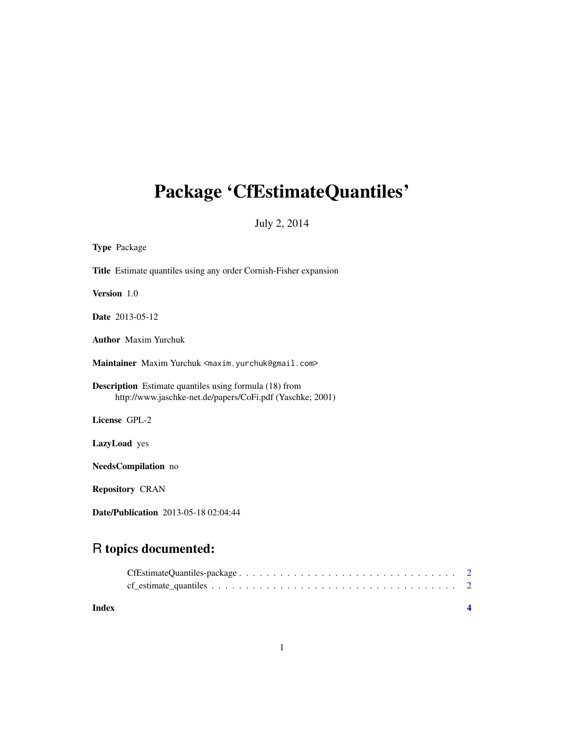## Package 'CfEstimateQuantiles'

July 2, 2014

| <b>Type Package</b>                                                                                                        |
|----------------------------------------------------------------------------------------------------------------------------|
| <b>Title</b> Estimate quantiles using any order Cornish-Fisher expansion                                                   |
| Version 1.0                                                                                                                |
| <b>Date</b> 2013-05-12                                                                                                     |
| <b>Author</b> Maxim Yurchuk                                                                                                |
| Maintainer Maxim Yurchuk <maxim.yurchuk@gmail.com></maxim.yurchuk@gmail.com>                                               |
| <b>Description</b> Estimate quantiles using formula (18) from<br>http://www.jaschke-net.de/papers/CoFi.pdf (Yaschke; 2001) |
| License GPL-2                                                                                                              |
| <b>LazyLoad</b> yes                                                                                                        |
| NeedsCompilation no                                                                                                        |
| <b>Repository CRAN</b>                                                                                                     |

Date/Publication 2013-05-18 02:04:44

### R topics documented:

| Index |                                                                                                          |  |
|-------|----------------------------------------------------------------------------------------------------------|--|
|       | $cf\_estimate\_quantiles \ldots \ldots \ldots \ldots \ldots \ldots \ldots \ldots \ldots \ldots \ldots 2$ |  |
|       |                                                                                                          |  |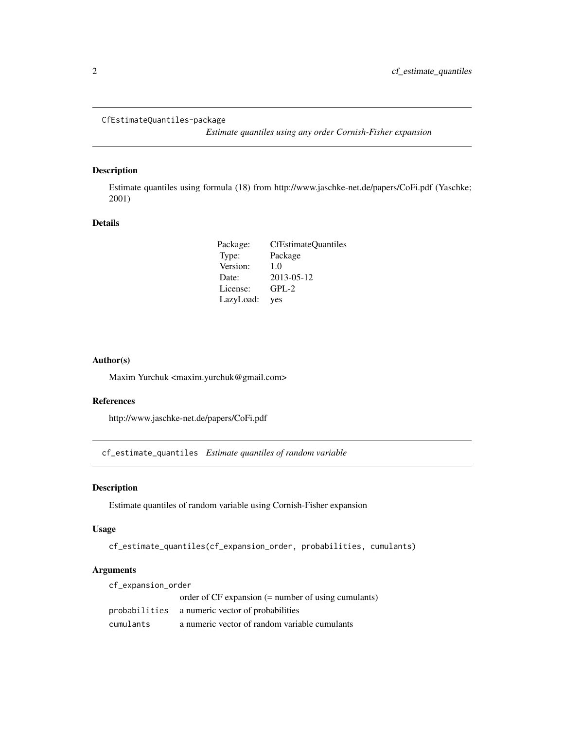```
CfEstimateQuantiles-package
```
*Estimate quantiles using any order Cornish-Fisher expansion*

#### Description

Estimate quantiles using formula (18) from http://www.jaschke-net.de/papers/CoFi.pdf (Yaschke; 2001)

#### Details

| Package:  | <b>CfEstimateQuantiles</b> |
|-----------|----------------------------|
| Type:     | Package                    |
| Version:  | 1.0                        |
| Date:     | 2013-05-12                 |
| License:  | $GPL-2$                    |
| LazyLoad: | yes                        |

#### Author(s)

Maxim Yurchuk <maxim.yurchuk@gmail.com>

#### References

http://www.jaschke-net.de/papers/CoFi.pdf

cf\_estimate\_quantiles *Estimate quantiles of random variable*

#### Description

Estimate quantiles of random variable using Cornish-Fisher expansion

#### Usage

cf\_estimate\_quantiles(cf\_expansion\_order, probabilities, cumulants)

#### Arguments

| cf_expansion_order |                                                       |  |  |  |
|--------------------|-------------------------------------------------------|--|--|--|
|                    | order of $CF$ expansion (= number of using cumulants) |  |  |  |
|                    | probabilities a numeric vector of probabilities       |  |  |  |
| cumulants          | a numeric vector of random variable cumulants         |  |  |  |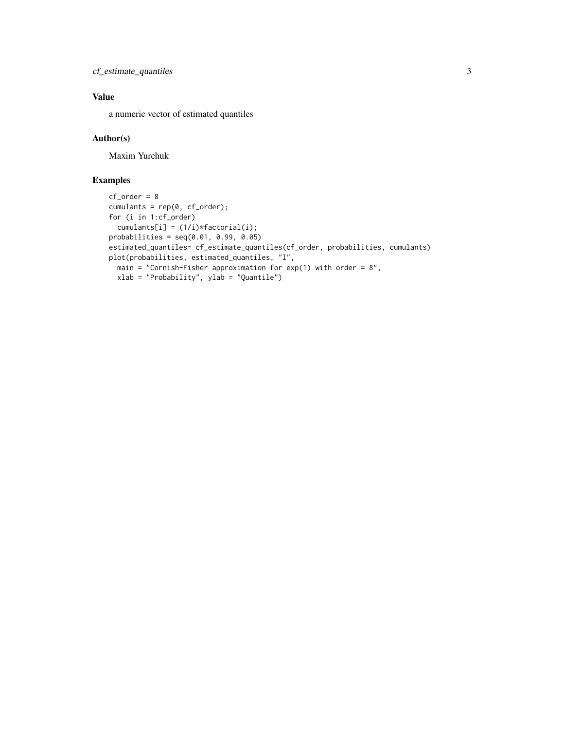cf\_estimate\_quantiles 3

#### Value

a numeric vector of estimated quantiles

#### Author(s)

Maxim Yurchuk

#### Examples

```
cf_order = 8
cumulants = rep(0, cf_order);
for (i in 1:cf_order)
  cumulants[i] = (1/i)*factorial(i);
probabilities = seq(0.01, 0.99, 0.05)
estimated_quantiles= cf_estimate_quantiles(cf_order, probabilities, cumulants)
plot(probabilities, estimated_quantiles, "l",
  main = "Cornish-Fisher approximation for exp(1) with order = 8",
  xlab = "Probability", ylab = "Quantile")
```